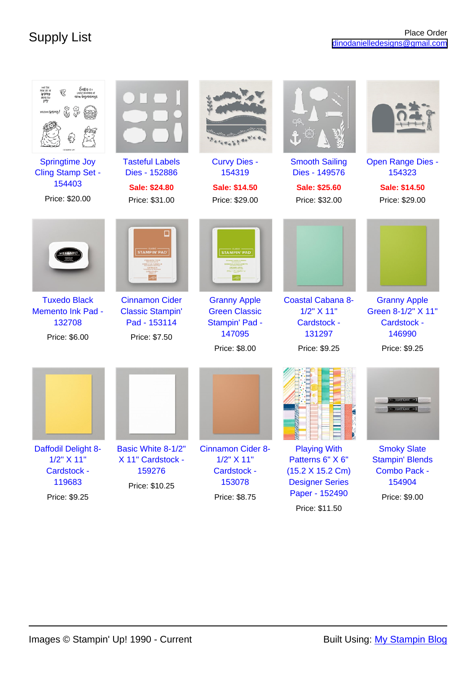| Easter is a<br><b>EWLIFE OF</b><br>spring<br>gen beginnings<br>WILCOME SPERIES!<br><b>Springtime Joy</b><br>Cling Stamp Set - | <b>Tasteful Labels</b><br>Dies - 152886                                                                  | <b>Curvy Dies -</b><br>154319                                                                                   | <b>Smooth Sailing</b><br>Dies - 149576                                           | <b>Open Range Dies -</b><br>154323                                                  |
|-------------------------------------------------------------------------------------------------------------------------------|----------------------------------------------------------------------------------------------------------|-----------------------------------------------------------------------------------------------------------------|----------------------------------------------------------------------------------|-------------------------------------------------------------------------------------|
| 154403                                                                                                                        |                                                                                                          |                                                                                                                 |                                                                                  |                                                                                     |
|                                                                                                                               | <b>Sale: \$24.80</b>                                                                                     | Sale: \$14.50                                                                                                   | <b>Sale: \$25.60</b>                                                             | <b>Sale: \$14.50</b>                                                                |
| Price: \$20.00                                                                                                                | Price: \$31.00                                                                                           | Price: \$29.00                                                                                                  | Price: \$32.00                                                                   | Price: \$29.00                                                                      |
| <b>Tuxedo Black</b><br><b>Memento Ink Pad -</b><br>132708<br>Price: \$6.00                                                    | <b>STAMPIN' PAD</b><br><b>Cinnamon Cider</b><br><b>Classic Stampin'</b><br>Pad - 153114<br>Price: \$7.50 | <b>STAMPIN' PAD</b><br><b>Granny Apple</b><br><b>Green Classic</b><br>Stampin' Pad -<br>147095<br>Price: \$8.00 | <b>Coastal Cabana 8-</b><br>1/2" X 11"<br>Cardstock -<br>131297<br>Price: \$9.25 | <b>Granny Apple</b><br>Green 8-1/2" X 11"<br>Cardstock -<br>146990<br>Price: \$9.25 |
|                                                                                                                               |                                                                                                          |                                                                                                                 | <b>B</b> B L L L                                                                 |                                                                                     |
| Daffodil Delight 8-                                                                                                           | Basic White 8-1/2"                                                                                       | <b>Cinnamon Cider 8-</b>                                                                                        | <b>Playing With</b>                                                              | <b>Smoky Slate</b>                                                                  |
| 1/2" X 11"                                                                                                                    | X 11" Cardstock -                                                                                        | 1/2" X 11"                                                                                                      | Patterns 6" X 6"                                                                 | <b>Stampin' Blends</b>                                                              |
| Cardstock -                                                                                                                   | 159276                                                                                                   | Cardstock -                                                                                                     | (15.2 X 15.2 Cm)                                                                 | Combo Pack -                                                                        |
| 119683                                                                                                                        | Price: \$10.25                                                                                           | 153078                                                                                                          | <b>Designer Series</b>                                                           | 154904                                                                              |
| Price: \$9.25                                                                                                                 |                                                                                                          | Price: \$8.75                                                                                                   | Paper - 152490                                                                   | Price: \$9.00                                                                       |
|                                                                                                                               |                                                                                                          |                                                                                                                 | Price: \$11.50                                                                   |                                                                                     |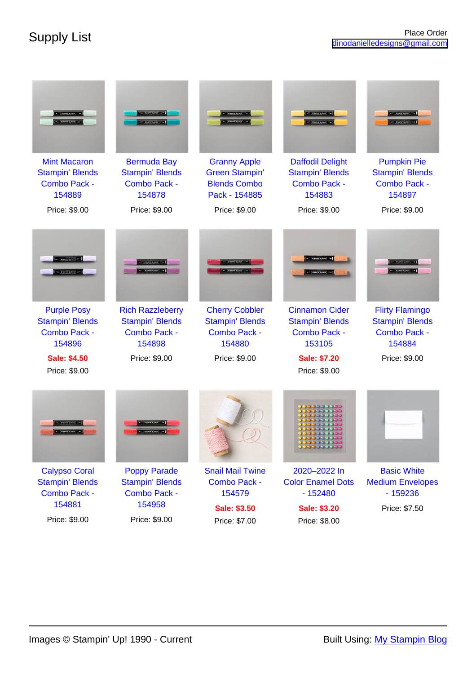|                                                                                | <b>PICKLING</b>                                                             |                                                                                      |                                                                             | <b>CERAMON BANDY - THE</b><br><b>HE STANDWALDER</b>                        |
|--------------------------------------------------------------------------------|-----------------------------------------------------------------------------|--------------------------------------------------------------------------------------|-----------------------------------------------------------------------------|----------------------------------------------------------------------------|
| <b>Mint Macaron</b><br><b>Stampin' Blends</b><br><b>Combo Pack -</b><br>154889 | <b>Bermuda Bay</b><br><b>Stampin' Blends</b><br>Combo Pack -<br>154878      | <b>Granny Apple</b><br><b>Green Stampin'</b><br><b>Blends Combo</b><br>Pack - 154885 | <b>Daffodil Delight</b><br><b>Stampin' Blends</b><br>Combo Pack -<br>154883 | <b>Pumpkin Pie</b><br><b>Stampin' Blends</b><br>Combo Pack -<br>154897     |
| Price: \$9.00                                                                  | Price: \$9.00                                                               | Price: \$9.00                                                                        | Price: \$9.00                                                               | Price: \$9.00                                                              |
| <b>Purple Posy</b><br><b>Stampin' Blends</b><br><b>Combo Pack -</b><br>154896  | <b>Rich Razzleberry</b><br><b>Stampin' Blends</b><br>Combo Pack -<br>154898 | <b>Cherry Cobbler</b><br><b>Stampin' Blends</b><br>Combo Pack -<br>154880            | <b>Cinnamon Cider</b><br><b>Stampin' Blends</b><br>Combo Pack -<br>153105   | <b>Flirty Flamingo</b><br><b>Stampin' Blends</b><br>Combo Pack -<br>154884 |
| <b>Sale: \$4.50</b><br>Price: \$9.00                                           | Price: \$9.00                                                               | Price: \$9.00                                                                        | <b>Sale: \$7.20</b><br>Price: \$9.00                                        | Price: \$9.00                                                              |
|                                                                                |                                                                             |                                                                                      |                                                                             |                                                                            |
|                                                                                |                                                                             |                                                                                      |                                                                             |                                                                            |
| <b>Calypso Coral</b><br><b>Stampin' Blends</b>                                 | <b>Poppy Parade</b><br><b>Stampin' Blends</b>                               | <b>Snail Mail Twine</b><br><b>Combo Pack -</b>                                       | 2020-2022 In<br><b>Color Enamel Dots</b>                                    | <b>Basic White</b><br><b>Medium Envelopes</b>                              |
| <b>Combo Pack -</b><br>154881                                                  | Combo Pack -                                                                | 154579                                                                               | $-152480$                                                                   | $-159236$                                                                  |
| Price: \$9.00                                                                  | 154958<br>Price: \$9.00                                                     | <b>Sale: \$3.50</b><br>Price: \$7.00                                                 | Sale: \$3.20<br>Price: \$8.00                                               | Price: \$7.50                                                              |
|                                                                                |                                                                             |                                                                                      |                                                                             |                                                                            |